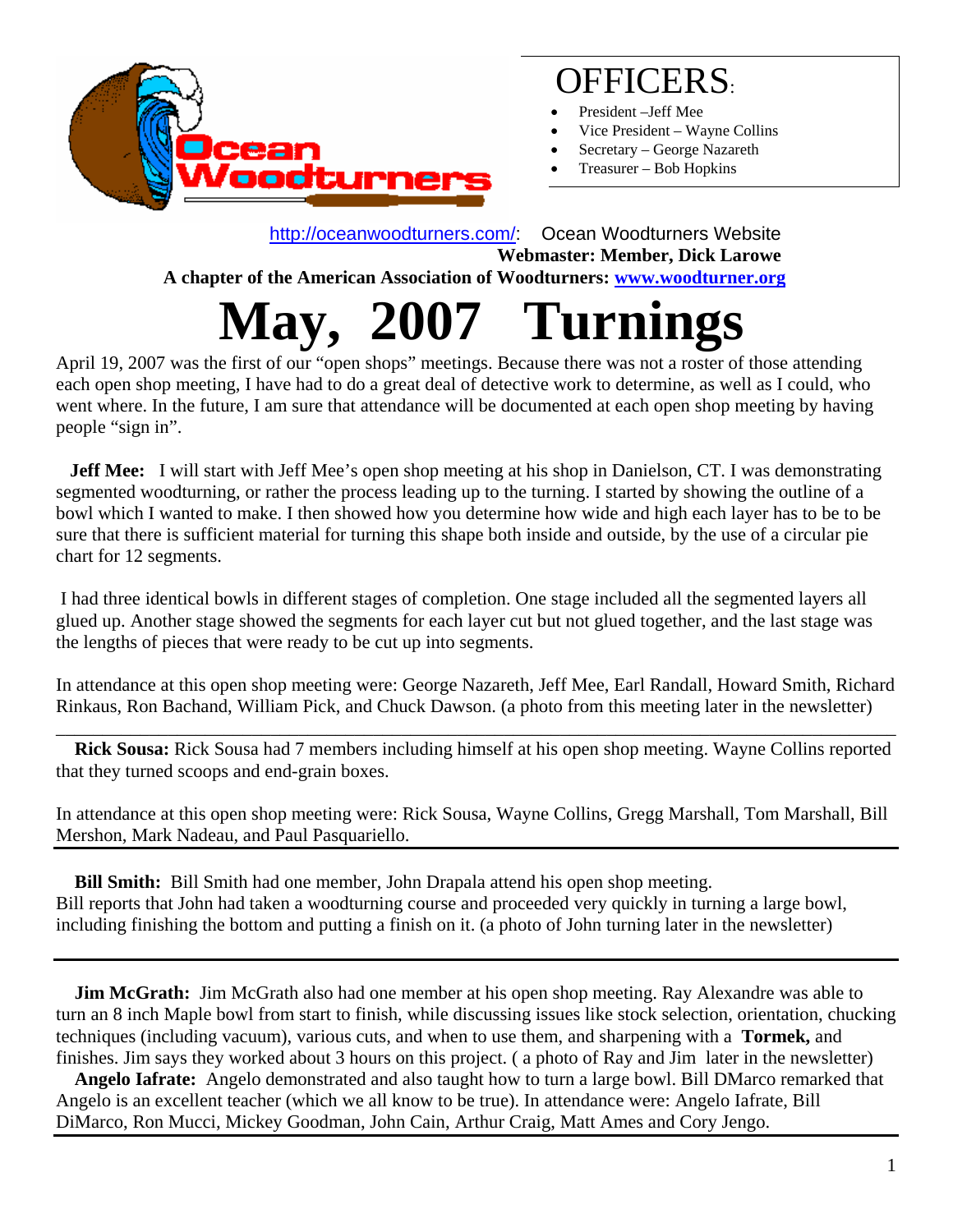

## OFFICERS:

- President –Jeff Mee
- Vice President Wayne Collins
- Secretary George Nazareth
- Treasurer Bob Hopkins

 <http://oceanwoodturners.com/>: Ocean Woodturners Website **Webmaster: Member, Dick Larowe A chapter of the American Association of Woodturners: [www.woodturner.org](http://www.woodturner.org/)  May, 2007 Turnings**

April 19, 2007 was the first of our "open shops" meetings. Because there was not a roster of those attending each open shop meeting, I have had to do a great deal of detective work to determine, as well as I could, who went where. In the future, I am sure that attendance will be documented at each open shop meeting by having people "sign in".

**Jeff Mee:** I will start with Jeff Mee's open shop meeting at his shop in Danielson, CT. I was demonstrating segmented woodturning, or rather the process leading up to the turning. I started by showing the outline of a bowl which I wanted to make. I then showed how you determine how wide and high each layer has to be to be sure that there is sufficient material for turning this shape both inside and outside, by the use of a circular pie chart for 12 segments.

 I had three identical bowls in different stages of completion. One stage included all the segmented layers all glued up. Another stage showed the segments for each layer cut but not glued together, and the last stage was the lengths of pieces that were ready to be cut up into segments.

In attendance at this open shop meeting were: George Nazareth, Jeff Mee, Earl Randall, Howard Smith, Richard Rinkaus, Ron Bachand, William Pick, and Chuck Dawson. (a photo from this meeting later in the newsletter)

\_\_\_\_\_\_\_\_\_\_\_\_\_\_\_\_\_\_\_\_\_\_\_\_\_\_\_\_\_\_\_\_\_\_\_\_\_\_\_\_\_\_\_\_\_\_\_\_\_\_\_\_\_\_\_\_\_\_\_\_\_\_\_\_\_\_\_\_\_\_\_\_\_\_\_\_\_\_\_\_\_\_\_\_\_\_\_\_\_\_

 **Rick Sousa:** Rick Sousa had 7 members including himself at his open shop meeting. Wayne Collins reported that they turned scoops and end-grain boxes.

In attendance at this open shop meeting were: Rick Sousa, Wayne Collins, Gregg Marshall, Tom Marshall, Bill Mershon, Mark Nadeau, and Paul Pasquariello.

 **Bill Smith:** Bill Smith had one member, John Drapala attend his open shop meeting. Bill reports that John had taken a woodturning course and proceeded very quickly in turning a large bowl, including finishing the bottom and putting a finish on it. (a photo of John turning later in the newsletter)

**Jim McGrath:** Jim McGrath also had one member at his open shop meeting. Ray Alexandre was able to turn an 8 inch Maple bowl from start to finish, while discussing issues like stock selection, orientation, chucking techniques (including vacuum), various cuts, and when to use them, and sharpening with a **Tormek,** and finishes. Jim says they worked about 3 hours on this project. ( a photo of Ray and Jim later in the newsletter)

 **Angelo Iafrate:** Angelo demonstrated and also taught how to turn a large bowl. Bill DMarco remarked that Angelo is an excellent teacher (which we all know to be true). In attendance were: Angelo Iafrate, Bill DiMarco, Ron Mucci, Mickey Goodman, John Cain, Arthur Craig, Matt Ames and Cory Jengo.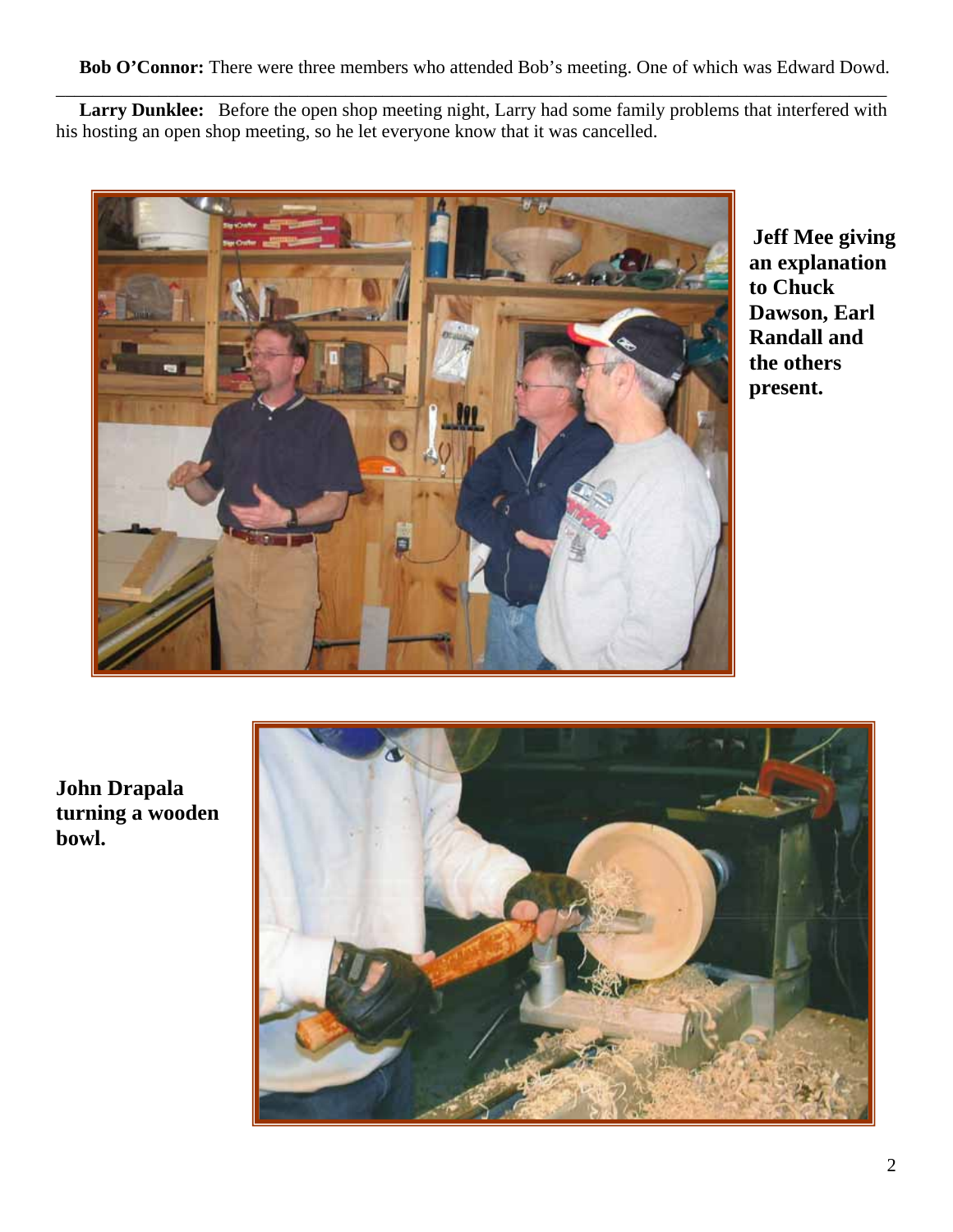**Bob O'Connor:** There were three members who attended Bob's meeting. One of which was Edward Dowd.

 **Larry Dunklee:** Before the open shop meeting night, Larry had some family problems that interfered with his hosting an open shop meeting, so he let everyone know that it was cancelled.

\_\_\_\_\_\_\_\_\_\_\_\_\_\_\_\_\_\_\_\_\_\_\_\_\_\_\_\_\_\_\_\_\_\_\_\_\_\_\_\_\_\_\_\_\_\_\_\_\_\_\_\_\_\_\_\_\_\_\_\_\_\_\_\_\_\_\_\_\_\_\_\_\_\_\_\_\_\_\_\_\_\_\_\_\_\_\_\_\_



**Jeff Mee giving an explanation to Chuck Dawson, Earl Randall and the others present.** 

**turning a wooden owl. bJohn Drapala** 

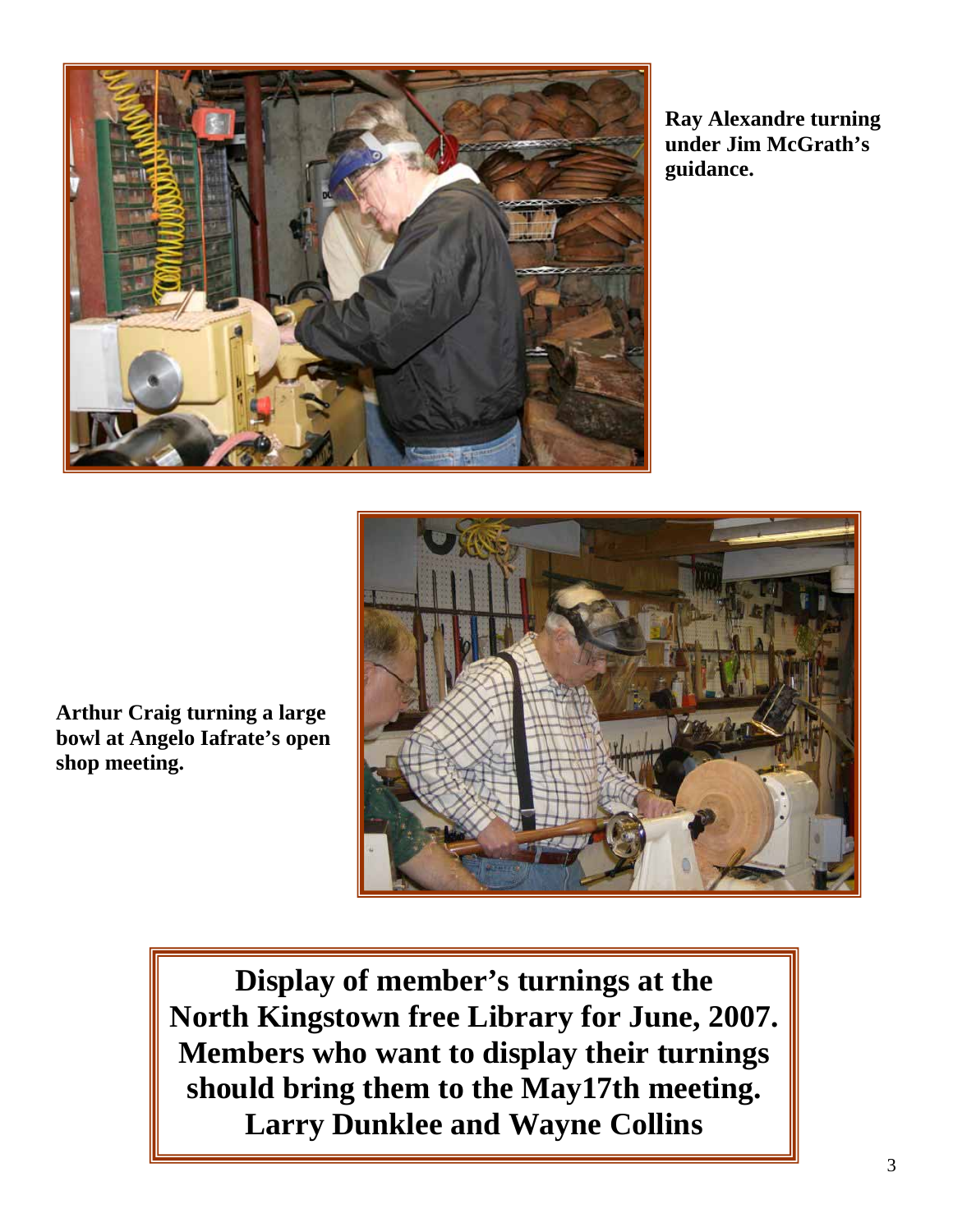

**Ray Alexandre turning under Jim McGrath's guidance.**



**Arthur Craig turning a large bowl at Angelo Iafrate's open shop meeting.** 

> **Display of member's turnings at the North Kingstown free Library for June, 2007. Members who want to display their turnings should bring them to the May17th meeting. Larry Dunklee and Wayne Collins**